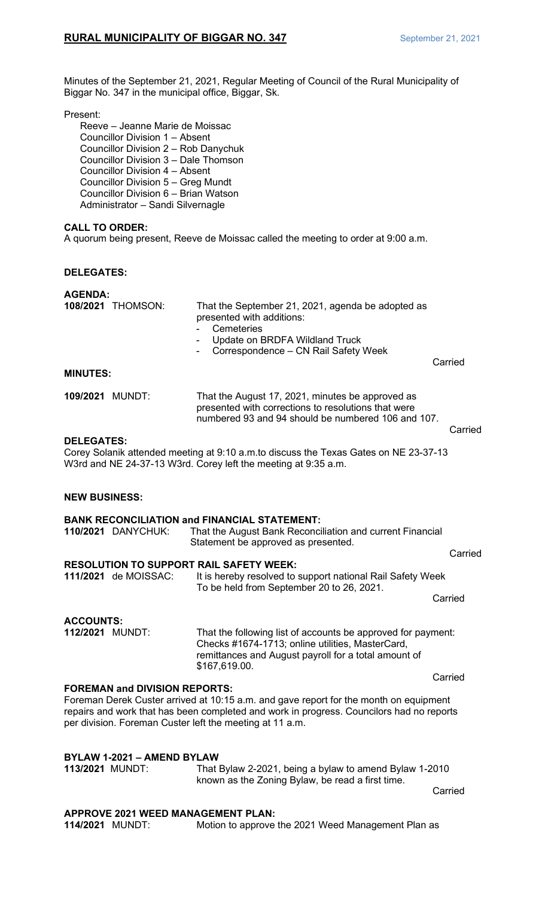Minutes of the September 21, 2021, Regular Meeting of Council of the Rural Municipality of Biggar No. 347 in the municipal office, Biggar, Sk.

#### Present:

Reeve – Jeanne Marie de Moissac Councillor Division 1 – Absent Councillor Division 2 – Rob Danychuk Councillor Division 3 – Dale Thomson Councillor Division 4 – Absent Councillor Division 5 – Greg Mundt Councillor Division 6 – Brian Watson Administrator – Sandi Silvernagle

# **CALL TO ORDER:**

A quorum being present, Reeve de Moissac called the meeting to order at 9:00 a.m.

# **DELEGATES:**

# **AGENDA:**

| <b>108/2021 THOMSON:</b> | That the September 21, 2021, agenda be adopted as<br>presented with additions:<br>- Cemeteries<br>- Update on BRDFA Wildland Truck<br>- Correspondence – CN Rail Safety Week |         |
|--------------------------|------------------------------------------------------------------------------------------------------------------------------------------------------------------------------|---------|
|                          |                                                                                                                                                                              | Carried |

#### **MINUTES:**

**109/2021** MUNDT: That the August 17, 2021, minutes be approved as presented with corrections to resolutions that were numbered 93 and 94 should be numbered 106 and 107.

Carried

#### **DELEGATES:**

Corey Solanik attended meeting at 9:10 a.m.to discuss the Texas Gates on NE 23-37-13 W3rd and NE 24-37-13 W3rd. Corey left the meeting at 9:35 a.m.

# **NEW BUSINESS:**

# **BANK RECONCILIATION and FINANCIAL STATEMENT: 110/2021** DANYCHUK: That the August Bank Reconciliation and current Financial Statement be approved as presented. **Carried RESOLUTION TO SUPPORT RAIL SAFETY WEEK:**<br>111/2021 de MOISSAC: It is hereby resolved to It is hereby resolved to support national Rail Safety Week

To be held from September 20 to 26, 2021. Carried

**ACCOUNTS:** That the following list of accounts be approved for payment: Checks #1674-1713; online utilities, MasterCard, remittances and August payroll for a total amount of \$167,619.00.

**FOREMAN and DIVISION REPORTS:** Foreman Derek Custer arrived at 10:15 a.m. and gave report for the month on equipment repairs and work that has been completed and work in progress. Councilors had no reports per division. Foreman Custer left the meeting at 11 a.m.

# **BYLAW 1-2021 – AMEND BYLAW**

**113/2021** MUNDT: That Bylaw 2-2021, being a bylaw to amend Bylaw 1-2010 known as the Zoning Bylaw, be read a first time.

Carried

Carried

**APPROVE 2021 WEED MANAGEMENT PLAN:** Motion to approve the 2021 Weed Management Plan as